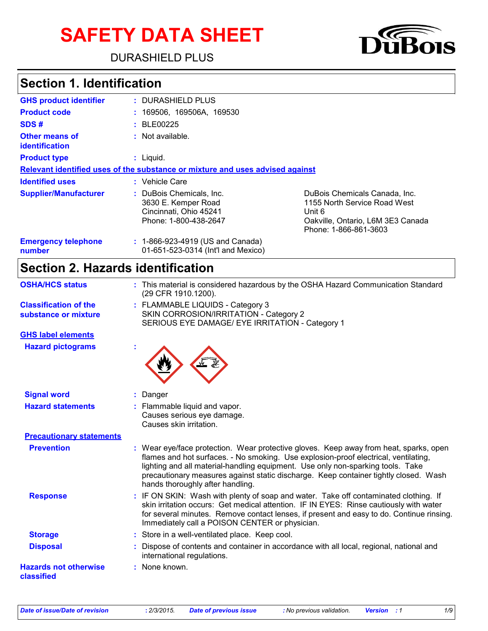# **SAFETY DATA SHEET**

DURASHIELD PLUS



## **Section 1. Identification**

| <b>GHS product identifier</b>        | : DURASHIELD PLUS                                                                                  |                                                                                                                                       |
|--------------------------------------|----------------------------------------------------------------------------------------------------|---------------------------------------------------------------------------------------------------------------------------------------|
| <b>Product code</b>                  | : 169506, 169506A, 169530                                                                          |                                                                                                                                       |
| SDS#                                 | : BLE00225                                                                                         |                                                                                                                                       |
| Other means of<br>identification     | : Not available.                                                                                   |                                                                                                                                       |
| <b>Product type</b>                  | $:$ Liquid.                                                                                        |                                                                                                                                       |
|                                      | Relevant identified uses of the substance or mixture and uses advised against                      |                                                                                                                                       |
| <b>Identified uses</b>               | : Vehicle Care                                                                                     |                                                                                                                                       |
| <b>Supplier/Manufacturer</b>         | : DuBois Chemicals, Inc.<br>3630 E. Kemper Road<br>Cincinnati, Ohio 45241<br>Phone: 1-800-438-2647 | DuBois Chemicals Canada, Inc.<br>1155 North Service Road West<br>Unit 6<br>Oakville, Ontario, L6M 3E3 Canada<br>Phone: 1-866-861-3603 |
| <b>Emergency telephone</b><br>number | : 1-866-923-4919 (US and Canada)<br>01-651-523-0314 (Int'l and Mexico)                             |                                                                                                                                       |

# **Section 2. Hazards identification**

| <b>OSHA/HCS status</b>                               | : This material is considered hazardous by the OSHA Hazard Communication Standard<br>(29 CFR 1910.1200).                                                                                                                                                                                                                                                                                    |
|------------------------------------------------------|---------------------------------------------------------------------------------------------------------------------------------------------------------------------------------------------------------------------------------------------------------------------------------------------------------------------------------------------------------------------------------------------|
| <b>Classification of the</b><br>substance or mixture | : FLAMMABLE LIQUIDS - Category 3<br>SKIN CORROSION/IRRITATION - Category 2<br>SERIOUS EYE DAMAGE/ EYE IRRITATION - Category 1                                                                                                                                                                                                                                                               |
| <b>GHS label elements</b>                            |                                                                                                                                                                                                                                                                                                                                                                                             |
| <b>Hazard pictograms</b>                             |                                                                                                                                                                                                                                                                                                                                                                                             |
| <b>Signal word</b>                                   | Danger                                                                                                                                                                                                                                                                                                                                                                                      |
| <b>Hazard statements</b>                             | : Flammable liquid and vapor.<br>Causes serious eye damage.<br>Causes skin irritation.                                                                                                                                                                                                                                                                                                      |
| <b>Precautionary statements</b>                      |                                                                                                                                                                                                                                                                                                                                                                                             |
| <b>Prevention</b>                                    | : Wear eye/face protection. Wear protective gloves. Keep away from heat, sparks, open<br>flames and hot surfaces. - No smoking. Use explosion-proof electrical, ventilating,<br>lighting and all material-handling equipment. Use only non-sparking tools. Take<br>precautionary measures against static discharge. Keep container tightly closed. Wash<br>hands thoroughly after handling. |
| <b>Response</b>                                      | : IF ON SKIN: Wash with plenty of soap and water. Take off contaminated clothing. If<br>skin irritation occurs: Get medical attention. IF IN EYES: Rinse cautiously with water<br>for several minutes. Remove contact lenses, if present and easy to do. Continue rinsing.<br>Immediately call a POISON CENTER or physician.                                                                |
| <b>Storage</b>                                       | : Store in a well-ventilated place. Keep cool.                                                                                                                                                                                                                                                                                                                                              |
| <b>Disposal</b>                                      | : Dispose of contents and container in accordance with all local, regional, national and<br>international regulations.                                                                                                                                                                                                                                                                      |
| <b>Hazards not otherwise</b><br>classified           | : None known.                                                                                                                                                                                                                                                                                                                                                                               |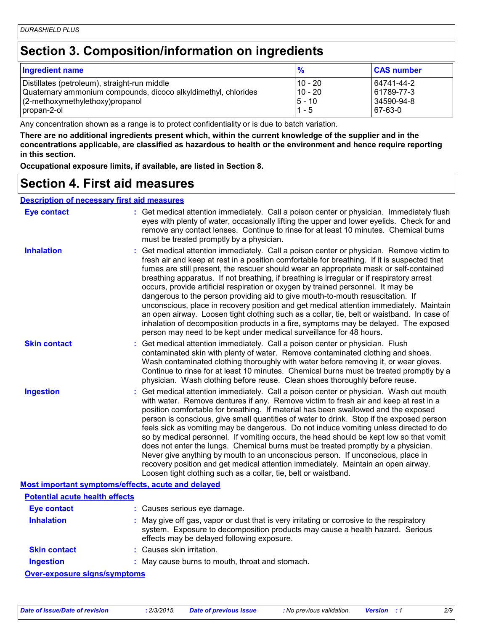### **Section 3. Composition/information on ingredients**

| <b>Ingredient name</b>                                         | $\frac{9}{6}$ | <b>CAS number</b> |
|----------------------------------------------------------------|---------------|-------------------|
| Distillates (petroleum), straight-run middle                   | 10 - 20       | 64741-44-2        |
| Quaternary ammonium compounds, dicoco alkyldimethyl, chlorides | $10 - 20$     | 61789-77-3        |
| (2-methoxymethylethoxy)propanol                                | $ 5 - 10$     | 34590-94-8        |
| propan-2-ol                                                    | $1 - 5$       | 67-63-0           |

Any concentration shown as a range is to protect confidentiality or is due to batch variation.

**There are no additional ingredients present which, within the current knowledge of the supplier and in the concentrations applicable, are classified as hazardous to health or the environment and hence require reporting in this section.**

**Occupational exposure limits, if available, are listed in Section 8.**

#### **Section 4. First aid measures**

| <b>Description of necessary first aid measures</b> |                                                                                                                                                                                                                                                                                                                                                                                                                                                                                                                                                                                                                                                                                                                                                                                                                                                                                                              |
|----------------------------------------------------|--------------------------------------------------------------------------------------------------------------------------------------------------------------------------------------------------------------------------------------------------------------------------------------------------------------------------------------------------------------------------------------------------------------------------------------------------------------------------------------------------------------------------------------------------------------------------------------------------------------------------------------------------------------------------------------------------------------------------------------------------------------------------------------------------------------------------------------------------------------------------------------------------------------|
| <b>Eye contact</b>                                 | : Get medical attention immediately. Call a poison center or physician. Immediately flush<br>eyes with plenty of water, occasionally lifting the upper and lower eyelids. Check for and<br>remove any contact lenses. Continue to rinse for at least 10 minutes. Chemical burns<br>must be treated promptly by a physician.                                                                                                                                                                                                                                                                                                                                                                                                                                                                                                                                                                                  |
| <b>Inhalation</b>                                  | : Get medical attention immediately. Call a poison center or physician. Remove victim to<br>fresh air and keep at rest in a position comfortable for breathing. If it is suspected that<br>fumes are still present, the rescuer should wear an appropriate mask or self-contained<br>breathing apparatus. If not breathing, if breathing is irregular or if respiratory arrest<br>occurs, provide artificial respiration or oxygen by trained personnel. It may be<br>dangerous to the person providing aid to give mouth-to-mouth resuscitation. If<br>unconscious, place in recovery position and get medical attention immediately. Maintain<br>an open airway. Loosen tight clothing such as a collar, tie, belt or waistband. In case of<br>inhalation of decomposition products in a fire, symptoms may be delayed. The exposed<br>person may need to be kept under medical surveillance for 48 hours. |
| <b>Skin contact</b>                                | : Get medical attention immediately. Call a poison center or physician. Flush<br>contaminated skin with plenty of water. Remove contaminated clothing and shoes.<br>Wash contaminated clothing thoroughly with water before removing it, or wear gloves.<br>Continue to rinse for at least 10 minutes. Chemical burns must be treated promptly by a<br>physician. Wash clothing before reuse. Clean shoes thoroughly before reuse.                                                                                                                                                                                                                                                                                                                                                                                                                                                                           |
| <b>Ingestion</b>                                   | : Get medical attention immediately. Call a poison center or physician. Wash out mouth<br>with water. Remove dentures if any. Remove victim to fresh air and keep at rest in a<br>position comfortable for breathing. If material has been swallowed and the exposed<br>person is conscious, give small quantities of water to drink. Stop if the exposed person<br>feels sick as vomiting may be dangerous. Do not induce vomiting unless directed to do<br>so by medical personnel. If vomiting occurs, the head should be kept low so that vomit<br>does not enter the lungs. Chemical burns must be treated promptly by a physician.<br>Never give anything by mouth to an unconscious person. If unconscious, place in<br>recovery position and get medical attention immediately. Maintain an open airway.<br>Loosen tight clothing such as a collar, tie, belt or waistband.                          |
| Most important symptoms/effects, acute and delayed |                                                                                                                                                                                                                                                                                                                                                                                                                                                                                                                                                                                                                                                                                                                                                                                                                                                                                                              |
| <b>Potential acute health effects</b>              |                                                                                                                                                                                                                                                                                                                                                                                                                                                                                                                                                                                                                                                                                                                                                                                                                                                                                                              |
| <b>Eye contact</b>                                 | : Causes serious eye damage.                                                                                                                                                                                                                                                                                                                                                                                                                                                                                                                                                                                                                                                                                                                                                                                                                                                                                 |
| <b>Inhalation</b>                                  | : May give off gas, vapor or dust that is very irritating or corrosive to the respiratory<br>system. Exposure to decomposition products may cause a health hazard. Serious<br>effects may be delayed following exposure.                                                                                                                                                                                                                                                                                                                                                                                                                                                                                                                                                                                                                                                                                     |
| <b>Skin contact</b>                                | : Causes skin irritation.                                                                                                                                                                                                                                                                                                                                                                                                                                                                                                                                                                                                                                                                                                                                                                                                                                                                                    |
| <b>Ingestion</b>                                   | : May cause burns to mouth, throat and stomach.                                                                                                                                                                                                                                                                                                                                                                                                                                                                                                                                                                                                                                                                                                                                                                                                                                                              |

**Over-exposure signs/symptoms**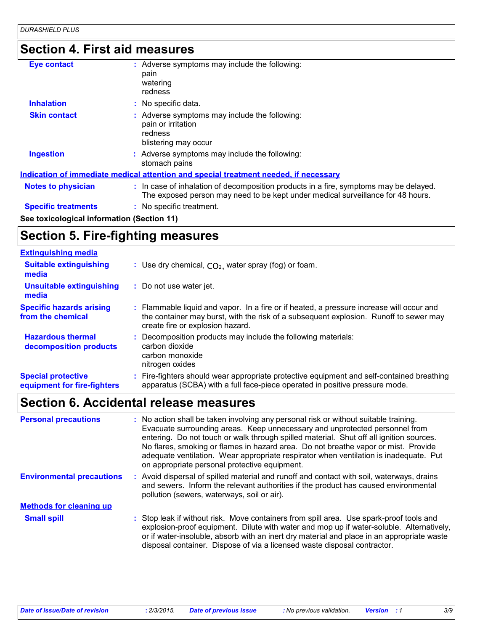# **Section 4. First aid measures**

| <b>Eye contact</b>                         | : Adverse symptoms may include the following:<br>pain<br>watering<br>redness                                                                                             |
|--------------------------------------------|--------------------------------------------------------------------------------------------------------------------------------------------------------------------------|
| <b>Inhalation</b>                          | : No specific data.                                                                                                                                                      |
| <b>Skin contact</b>                        | : Adverse symptoms may include the following:<br>pain or irritation<br>redness<br>blistering may occur                                                                   |
| <b>Ingestion</b>                           | : Adverse symptoms may include the following:<br>stomach pains                                                                                                           |
|                                            | <u>Indication of immediate medical attention and special treatment needed, if necessary</u>                                                                              |
| <b>Notes to physician</b>                  | : In case of inhalation of decomposition products in a fire, symptoms may be delayed.<br>The exposed person may need to be kept under medical surveillance for 48 hours. |
| <b>Specific treatments</b>                 | : No specific treatment.                                                                                                                                                 |
| See toxicological information (Section 11) |                                                                                                                                                                          |

# **Section 5. Fire-fighting measures**

| <b>Extinguishing media</b>                               |                                                                                                                                                                                                                       |
|----------------------------------------------------------|-----------------------------------------------------------------------------------------------------------------------------------------------------------------------------------------------------------------------|
| <b>Suitable extinguishing</b><br>media                   | : Use dry chemical, $CO2$ , water spray (fog) or foam.                                                                                                                                                                |
| <b>Unsuitable extinguishing</b><br>media                 | : Do not use water jet.                                                                                                                                                                                               |
| <b>Specific hazards arising</b><br>from the chemical     | : Flammable liquid and vapor. In a fire or if heated, a pressure increase will occur and<br>the container may burst, with the risk of a subsequent explosion. Runoff to sewer may<br>create fire or explosion hazard. |
| <b>Hazardous thermal</b><br>decomposition products       | Decomposition products may include the following materials:<br>carbon dioxide<br>carbon monoxide<br>nitrogen oxides                                                                                                   |
| <b>Special protective</b><br>equipment for fire-fighters | : Fire-fighters should wear appropriate protective equipment and self-contained breathing<br>apparatus (SCBA) with a full face-piece operated in positive pressure mode.                                              |

## **Section 6. Accidental release measures**

| <b>Personal precautions</b>      | : No action shall be taken involving any personal risk or without suitable training.<br>Evacuate surrounding areas. Keep unnecessary and unprotected personnel from<br>entering. Do not touch or walk through spilled material. Shut off all ignition sources.<br>No flares, smoking or flames in hazard area. Do not breathe vapor or mist. Provide<br>adequate ventilation. Wear appropriate respirator when ventilation is inadequate. Put<br>on appropriate personal protective equipment. |
|----------------------------------|------------------------------------------------------------------------------------------------------------------------------------------------------------------------------------------------------------------------------------------------------------------------------------------------------------------------------------------------------------------------------------------------------------------------------------------------------------------------------------------------|
| <b>Environmental precautions</b> | : Avoid dispersal of spilled material and runoff and contact with soil, waterways, drains<br>and sewers. Inform the relevant authorities if the product has caused environmental<br>pollution (sewers, waterways, soil or air).                                                                                                                                                                                                                                                                |
| <b>Methods for cleaning up</b>   |                                                                                                                                                                                                                                                                                                                                                                                                                                                                                                |
| <b>Small spill</b>               | : Stop leak if without risk. Move containers from spill area. Use spark-proof tools and<br>explosion-proof equipment. Dilute with water and mop up if water-soluble. Alternatively,<br>or if water-insoluble, absorb with an inert dry material and place in an appropriate waste<br>disposal container. Dispose of via a licensed waste disposal contractor.                                                                                                                                  |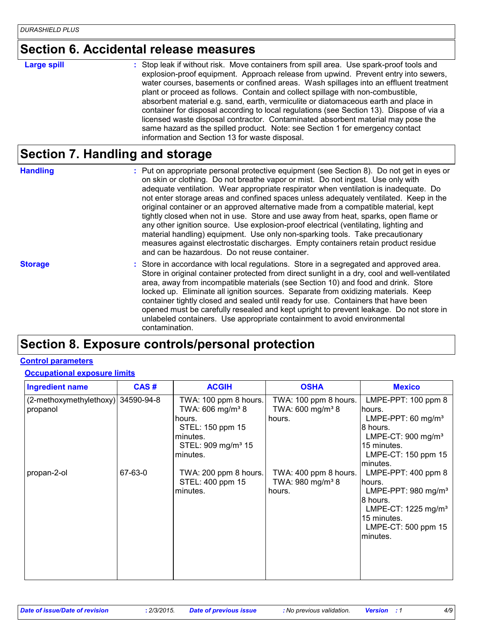#### **Section 6. Accidental release measures**

**Large spill :**

Stop leak if without risk. Move containers from spill area. Use spark-proof tools and explosion-proof equipment. Approach release from upwind. Prevent entry into sewers, water courses, basements or confined areas. Wash spillages into an effluent treatment plant or proceed as follows. Contain and collect spillage with non-combustible, absorbent material e.g. sand, earth, vermiculite or diatomaceous earth and place in container for disposal according to local regulations (see Section 13). Dispose of via a licensed waste disposal contractor. Contaminated absorbent material may pose the same hazard as the spilled product. Note: see Section 1 for emergency contact information and Section 13 for waste disposal.

#### **Section 7. Handling and storage**

**Handling** entries a metal on appropriate personal protective equipment (see Section 8). Do not get in eyes or and on skin or clothing. Do not breathe vapor or mist. Do not ingest. Use only with adequate ventilation. Wear appropriate respirator when ventilation is inadequate. Do not enter storage areas and confined spaces unless adequately ventilated. Keep in the original container or an approved alternative made from a compatible material, kept tightly closed when not in use. Store and use away from heat, sparks, open flame or any other ignition source. Use explosion-proof electrical (ventilating, lighting and material handling) equipment. Use only non-sparking tools. Take precautionary measures against electrostatic discharges. Empty containers retain product residue and can be hazardous. Do not reuse container.

**Storage** Store in accordance with local regulations. Store in a segregated and approved area. Store in original container protected from direct sunlight in a dry, cool and well-ventilated area, away from incompatible materials (see Section 10) and food and drink. Store locked up. Eliminate all ignition sources. Separate from oxidizing materials. Keep container tightly closed and sealed until ready for use. Containers that have been opened must be carefully resealed and kept upright to prevent leakage. Do not store in unlabeled containers. Use appropriate containment to avoid environmental contamination.

### **Section 8. Exposure controls/personal protection**

#### **Control parameters**

#### **Occupational exposure limits**

| <b>Ingredient name</b>                         | CAS#    | <b>ACGIH</b>                                                                                                                                  | <b>OSHA</b>                                                     | <b>Mexico</b>                                                                                                                                                                    |
|------------------------------------------------|---------|-----------------------------------------------------------------------------------------------------------------------------------------------|-----------------------------------------------------------------|----------------------------------------------------------------------------------------------------------------------------------------------------------------------------------|
| (2-methoxymethylethoxy) 34590-94-8<br>propanol |         | TWA: 100 ppm 8 hours.<br>TWA: 606 mg/m <sup>3</sup> 8<br>hours.<br>STEL: 150 ppm 15<br>minutes.<br>STEL: 909 mg/m <sup>3</sup> 15<br>minutes. | TWA: 100 ppm 8 hours.<br>TWA: 600 mg/m <sup>3</sup> 8<br>hours. | LMPE-PPT: $100$ ppm $8$<br>hours.<br>LMPE-PPT: 60 mg/m <sup>3</sup><br>8 hours.<br>LMPE-CT: $900 \text{ mg/m}^3$<br>15 minutes.<br>LMPE-CT: 150 ppm 15                           |
| propan-2-ol                                    | 67-63-0 | TWA: 200 ppm 8 hours.<br>STEL: 400 ppm 15<br>minutes.                                                                                         | TWA: 400 ppm 8 hours.<br>TWA: 980 mg/m <sup>3</sup> 8<br>hours. | lminutes.<br>LMPE-PPT: $400$ ppm $8$<br>hours.<br>LMPE-PPT: $980 \text{ mg/m}^3$<br>8 hours.<br>LMPE-CT: $1225 \text{ mg/m}^3$<br>15 minutes.<br>LMPE-CT: 500 ppm 15<br>minutes. |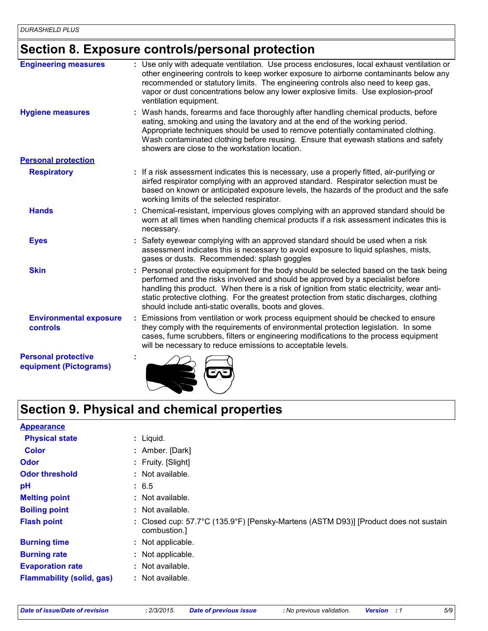### **Section 8. Exposure controls/personal protection**

| <b>Engineering measures</b>                          | : Use only with adequate ventilation. Use process enclosures, local exhaust ventilation or                                                                                                                                                                                                                                                                                                                                   |
|------------------------------------------------------|------------------------------------------------------------------------------------------------------------------------------------------------------------------------------------------------------------------------------------------------------------------------------------------------------------------------------------------------------------------------------------------------------------------------------|
|                                                      | other engineering controls to keep worker exposure to airborne contaminants below any<br>recommended or statutory limits. The engineering controls also need to keep gas,<br>vapor or dust concentrations below any lower explosive limits. Use explosion-proof<br>ventilation equipment.                                                                                                                                    |
| <b>Hygiene measures</b>                              | Wash hands, forearms and face thoroughly after handling chemical products, before<br>eating, smoking and using the lavatory and at the end of the working period.<br>Appropriate techniques should be used to remove potentially contaminated clothing.<br>Wash contaminated clothing before reusing. Ensure that eyewash stations and safety<br>showers are close to the workstation location.                              |
| <b>Personal protection</b>                           |                                                                                                                                                                                                                                                                                                                                                                                                                              |
| <b>Respiratory</b>                                   | : If a risk assessment indicates this is necessary, use a properly fitted, air-purifying or<br>airfed respirator complying with an approved standard. Respirator selection must be<br>based on known or anticipated exposure levels, the hazards of the product and the safe<br>working limits of the selected respirator.                                                                                                   |
| <b>Hands</b>                                         | Chemical-resistant, impervious gloves complying with an approved standard should be<br>worn at all times when handling chemical products if a risk assessment indicates this is<br>necessary.                                                                                                                                                                                                                                |
| <b>Eyes</b>                                          | Safety eyewear complying with an approved standard should be used when a risk<br>assessment indicates this is necessary to avoid exposure to liquid splashes, mists,<br>gases or dusts. Recommended: splash goggles                                                                                                                                                                                                          |
| <b>Skin</b>                                          | Personal protective equipment for the body should be selected based on the task being<br>performed and the risks involved and should be approved by a specialist before<br>handling this product. When there is a risk of ignition from static electricity, wear anti-<br>static protective clothing. For the greatest protection from static discharges, clothing<br>should include anti-static overalls, boots and gloves. |
| <b>Environmental exposure</b><br>controls            | Emissions from ventilation or work process equipment should be checked to ensure<br>they comply with the requirements of environmental protection legislation. In some<br>cases, fume scrubbers, filters or engineering modifications to the process equipment<br>will be necessary to reduce emissions to acceptable levels.                                                                                                |
| <b>Personal protective</b><br>equipment (Pictograms) |                                                                                                                                                                                                                                                                                                                                                                                                                              |

# **Section 9. Physical and chemical properties**

| <b>Appearance</b>                |                                                                                                      |
|----------------------------------|------------------------------------------------------------------------------------------------------|
| <b>Physical state</b>            | $:$ Liquid.                                                                                          |
| <b>Color</b>                     | : Amber. [Dark]                                                                                      |
| <b>Odor</b>                      | : Fruity. [Slight]                                                                                   |
| <b>Odor threshold</b>            | $\cdot$ Not available.                                                                               |
| pH                               | : 6.5                                                                                                |
| <b>Melting point</b>             | : Not available.                                                                                     |
| <b>Boiling point</b>             | : Not available.                                                                                     |
| <b>Flash point</b>               | : Closed cup: 57.7°C (135.9°F) [Pensky-Martens (ASTM D93)] [Product does not sustain<br>combustion.] |
| <b>Burning time</b>              | : Not applicable.                                                                                    |
| <b>Burning rate</b>              | : Not applicable.                                                                                    |
| <b>Evaporation rate</b>          | : Not available.                                                                                     |
| <b>Flammability (solid, gas)</b> | : Not available.                                                                                     |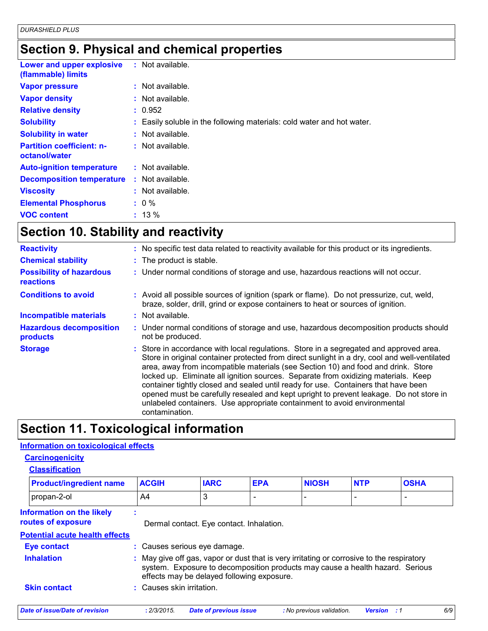## **Section 9. Physical and chemical properties**

| Lower and upper explosive<br>(flammable) limits   | $:$ Not available.                                                     |
|---------------------------------------------------|------------------------------------------------------------------------|
| <b>Vapor pressure</b>                             | $:$ Not available.                                                     |
| <b>Vapor density</b>                              | : Not available.                                                       |
| <b>Relative density</b>                           | : 0.952                                                                |
| <b>Solubility</b>                                 | : Easily soluble in the following materials: cold water and hot water. |
| <b>Solubility in water</b>                        | : Not available.                                                       |
| <b>Partition coefficient: n-</b><br>octanol/water | : Not available.                                                       |
| <b>Auto-ignition temperature</b>                  | : Not available.                                                       |
| <b>Decomposition temperature</b>                  | $:$ Not available.                                                     |
| <b>Viscosity</b>                                  | : Not available.                                                       |
| <b>Elemental Phosphorus</b>                       | $: 0 \%$                                                               |
| <b>VOC content</b>                                | $: 13 \%$                                                              |

# **Section 10. Stability and reactivity**

| <b>Reactivity</b>                                   | : No specific test data related to reactivity available for this product or its ingredients.                                                                                                                                                                                                                                                                                                                                                                                                                                                                                                                                                     |
|-----------------------------------------------------|--------------------------------------------------------------------------------------------------------------------------------------------------------------------------------------------------------------------------------------------------------------------------------------------------------------------------------------------------------------------------------------------------------------------------------------------------------------------------------------------------------------------------------------------------------------------------------------------------------------------------------------------------|
| <b>Chemical stability</b>                           | : The product is stable.                                                                                                                                                                                                                                                                                                                                                                                                                                                                                                                                                                                                                         |
| <b>Possibility of hazardous</b><br><b>reactions</b> | : Under normal conditions of storage and use, hazardous reactions will not occur.                                                                                                                                                                                                                                                                                                                                                                                                                                                                                                                                                                |
| <b>Conditions to avoid</b>                          | : Avoid all possible sources of ignition (spark or flame). Do not pressurize, cut, weld,<br>braze, solder, drill, grind or expose containers to heat or sources of ignition.                                                                                                                                                                                                                                                                                                                                                                                                                                                                     |
| <b>Incompatible materials</b>                       | : Not available.                                                                                                                                                                                                                                                                                                                                                                                                                                                                                                                                                                                                                                 |
| <b>Hazardous decomposition</b><br>products          | : Under normal conditions of storage and use, hazardous decomposition products should<br>not be produced.                                                                                                                                                                                                                                                                                                                                                                                                                                                                                                                                        |
| <b>Storage</b>                                      | : Store in accordance with local regulations. Store in a segregated and approved area.<br>Store in original container protected from direct sunlight in a dry, cool and well-ventilated<br>area, away from incompatible materials (see Section 10) and food and drink. Store<br>locked up. Eliminate all ignition sources. Separate from oxidizing materials. Keep<br>container tightly closed and sealed until ready for use. Containers that have been<br>opened must be carefully resealed and kept upright to prevent leakage. Do not store in<br>unlabeled containers. Use appropriate containment to avoid environmental<br>contamination. |

## **Section 11. Toxicological information**

#### **Information on toxicological effects**

| <b>Carcinogenicity</b> |  |
|------------------------|--|
| <b>Classification</b>  |  |

| <b>Product/ingredient name</b>                  | <b>ACGIH</b>            | <b>IARC</b>                                                                                                                                                                                                              | <b>EPA</b> | <b>NIOSH</b>              | <b>NTP</b>         | <b>OSHA</b>              |
|-------------------------------------------------|-------------------------|--------------------------------------------------------------------------------------------------------------------------------------------------------------------------------------------------------------------------|------------|---------------------------|--------------------|--------------------------|
| propan-2-ol                                     | A4                      | 3                                                                                                                                                                                                                        | ٠          |                           |                    | $\overline{\phantom{a}}$ |
| Information on the likely<br>routes of exposure |                         | Dermal contact. Eye contact. Inhalation.                                                                                                                                                                                 |            |                           |                    |                          |
| <b>Potential acute health effects</b>           |                         |                                                                                                                                                                                                                          |            |                           |                    |                          |
| <b>Eye contact</b>                              |                         | : Causes serious eye damage.                                                                                                                                                                                             |            |                           |                    |                          |
| <b>Inhalation</b>                               |                         | : May give off gas, vapor or dust that is very irritating or corrosive to the respiratory<br>system. Exposure to decomposition products may cause a health hazard. Serious<br>effects may be delayed following exposure. |            |                           |                    |                          |
| <b>Skin contact</b>                             | Causes skin irritation. |                                                                                                                                                                                                                          |            |                           |                    |                          |
| <b>Date of issue/Date of revision</b>           | : 2/3/2015.             | <b>Date of previous issue</b>                                                                                                                                                                                            |            | : No previous validation. | <b>Version</b> : 1 | 6/9                      |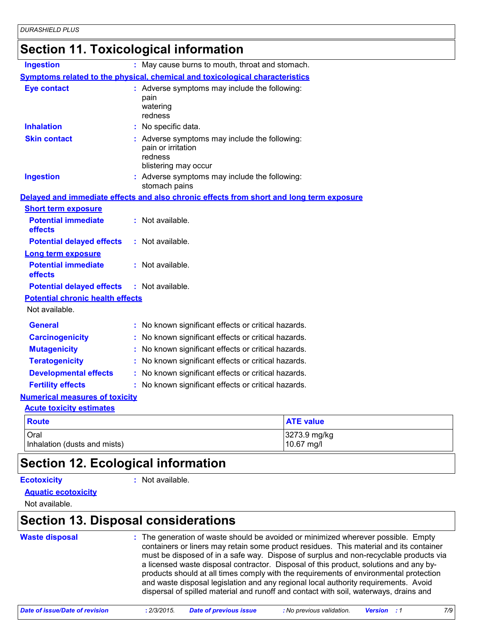# **Section 11. Toxicological information**

| <b>Ingestion</b>                                          | : May cause burns to mouth, throat and stomach.                                                        |                            |
|-----------------------------------------------------------|--------------------------------------------------------------------------------------------------------|----------------------------|
|                                                           | <b>Symptoms related to the physical, chemical and toxicological characteristics</b>                    |                            |
| <b>Eye contact</b>                                        | : Adverse symptoms may include the following:<br>pain<br>watering<br>redness                           |                            |
| <b>Inhalation</b>                                         | : No specific data.                                                                                    |                            |
| <b>Skin contact</b>                                       | : Adverse symptoms may include the following:<br>pain or irritation<br>redness<br>blistering may occur |                            |
| <b>Ingestion</b>                                          | : Adverse symptoms may include the following:<br>stomach pains                                         |                            |
|                                                           | Delayed and immediate effects and also chronic effects from short and long term exposure               |                            |
| <b>Short term exposure</b>                                |                                                                                                        |                            |
| <b>Potential immediate</b><br>effects                     | : Not available.                                                                                       |                            |
| <b>Potential delayed effects</b>                          | : Not available.                                                                                       |                            |
| <b>Long term exposure</b>                                 |                                                                                                        |                            |
| <b>Potential immediate</b><br>effects                     | : Not available.                                                                                       |                            |
| <b>Potential delayed effects</b>                          | $:$ Not available.                                                                                     |                            |
| <b>Potential chronic health effects</b><br>Not available. |                                                                                                        |                            |
| <b>General</b>                                            | : No known significant effects or critical hazards.                                                    |                            |
| <b>Carcinogenicity</b>                                    | : No known significant effects or critical hazards.                                                    |                            |
| <b>Mutagenicity</b>                                       | : No known significant effects or critical hazards.                                                    |                            |
| <b>Teratogenicity</b>                                     | : No known significant effects or critical hazards.                                                    |                            |
| <b>Developmental effects</b>                              | : No known significant effects or critical hazards.                                                    |                            |
| <b>Fertility effects</b>                                  | : No known significant effects or critical hazards.                                                    |                            |
| <b>Numerical measures of toxicity</b>                     |                                                                                                        |                            |
| <b>Acute toxicity estimates</b>                           |                                                                                                        |                            |
| <b>Route</b>                                              |                                                                                                        | <b>ATE value</b>           |
| Oral<br>Inhalation (dusts and mists)                      |                                                                                                        | 3273.9 mg/kg<br>10.67 mg/l |

## **Section 12. Ecological information**

#### **Ecotoxicity :**

: Not available.

**Aquatic ecotoxicity**

Not available.

### **Section 13. Disposal considerations**

| <b>Waste disposal</b> | : The generation of waste should be avoided or minimized wherever possible. Empty<br>containers or liners may retain some product residues. This material and its container<br>must be disposed of in a safe way. Dispose of surplus and non-recyclable products via<br>a licensed waste disposal contractor. Disposal of this product, solutions and any by-<br>products should at all times comply with the requirements of environmental protection<br>and waste disposal legislation and any regional local authority requirements. Avoid<br>dispersal of spilled material and runoff and contact with soil, waterways, drains and |
|-----------------------|----------------------------------------------------------------------------------------------------------------------------------------------------------------------------------------------------------------------------------------------------------------------------------------------------------------------------------------------------------------------------------------------------------------------------------------------------------------------------------------------------------------------------------------------------------------------------------------------------------------------------------------|
|-----------------------|----------------------------------------------------------------------------------------------------------------------------------------------------------------------------------------------------------------------------------------------------------------------------------------------------------------------------------------------------------------------------------------------------------------------------------------------------------------------------------------------------------------------------------------------------------------------------------------------------------------------------------------|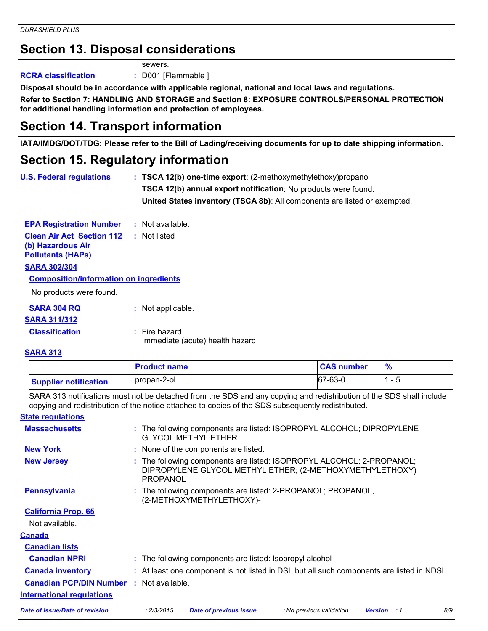### **Section 13. Disposal considerations**

sewers.

**RCRA classification :** D001 [Flammable ]

**Disposal should be in accordance with applicable regional, national and local laws and regulations.**

**Refer to Section 7: HANDLING AND STORAGE and Section 8: EXPOSURE CONTROLS/PERSONAL PROTECTION for additional handling information and protection of employees.**

### **Section 14. Transport information**

**IATA/IMDG/DOT/TDG: Please refer to the Bill of Lading/receiving documents for up to date shipping information.**

#### **Section 15. Regulatory information**

| <b>U.S. Federal regulations</b>                                                   |                                                                | : TSCA 12(b) one-time export: (2-methoxymethylethoxy) propanol            |
|-----------------------------------------------------------------------------------|----------------------------------------------------------------|---------------------------------------------------------------------------|
|                                                                                   | TSCA 12(b) annual export notification: No products were found. |                                                                           |
|                                                                                   |                                                                | United States inventory (TSCA 8b): All components are listed or exempted. |
| <b>EPA Registration Number</b>                                                    |                                                                | : Not available.                                                          |
| <b>Clean Air Act Section 112</b><br>(b) Hazardous Air<br><b>Pollutants (HAPS)</b> |                                                                | : Not listed                                                              |
| <b>SARA 302/304</b>                                                               |                                                                |                                                                           |
| <b>Composition/information on ingredients</b>                                     |                                                                |                                                                           |
| No products were found.                                                           |                                                                |                                                                           |
| <b>SARA 304 RQ</b>                                                                |                                                                | : Not applicable.                                                         |
| <b>SARA 311/312</b>                                                               |                                                                |                                                                           |
| <b>Classification</b>                                                             |                                                                | $:$ Fire hazard<br>Immediate (acute) health hazard                        |
| <b>BABA AJA</b>                                                                   |                                                                |                                                                           |

#### **SARA 313**

|                              | <b>Product name</b> | <b>CAS number</b> | $\frac{9}{6}$            |
|------------------------------|---------------------|-------------------|--------------------------|
| <b>Supplier notification</b> | propan-2-ol         | $ 67-63-0 $       | $\overline{\phantom{0}}$ |

SARA 313 notifications must not be detached from the SDS and any copying and redistribution of the SDS shall include copying and redistribution of the notice attached to copies of the SDS subsequently redistributed.

#### **State regulations**

| <b>Massachusetts</b>                            | : The following components are listed: ISOPROPYL ALCOHOL; DIPROPYLENE<br><b>GLYCOL METHYL ETHER</b>                                           |
|-------------------------------------------------|-----------------------------------------------------------------------------------------------------------------------------------------------|
| <b>New York</b>                                 | : None of the components are listed.                                                                                                          |
| <b>New Jersey</b>                               | : The following components are listed: ISOPROPYL ALCOHOL; 2-PROPANOL;<br>DIPROPYLENE GLYCOL METHYL ETHER; (2-METHOXYMETHYLETHOXY)<br>PROPANOL |
| <b>Pennsylvania</b>                             | : The following components are listed: 2-PROPANOL; PROPANOL,<br>(2-METHOXYMETHYLETHOXY)-                                                      |
| <b>California Prop. 65</b>                      |                                                                                                                                               |
| Not available.                                  |                                                                                                                                               |
| <b>Canada</b>                                   |                                                                                                                                               |
| <b>Canadian lists</b>                           |                                                                                                                                               |
| <b>Canadian NPRI</b>                            | : The following components are listed: Isopropyl alcohol                                                                                      |
| <b>Canada inventory</b>                         | : At least one component is not listed in DSL but all such components are listed in NDSL.                                                     |
| <b>Canadian PCP/DIN Number : Not available.</b> |                                                                                                                                               |
| <b>International regulations</b>                |                                                                                                                                               |
| Date of issue/Date of revision                  | 8/9<br>: 2/3/2015.<br>: No previous validation.<br><b>Date of previous issue</b><br><b>Version</b> : 1                                        |